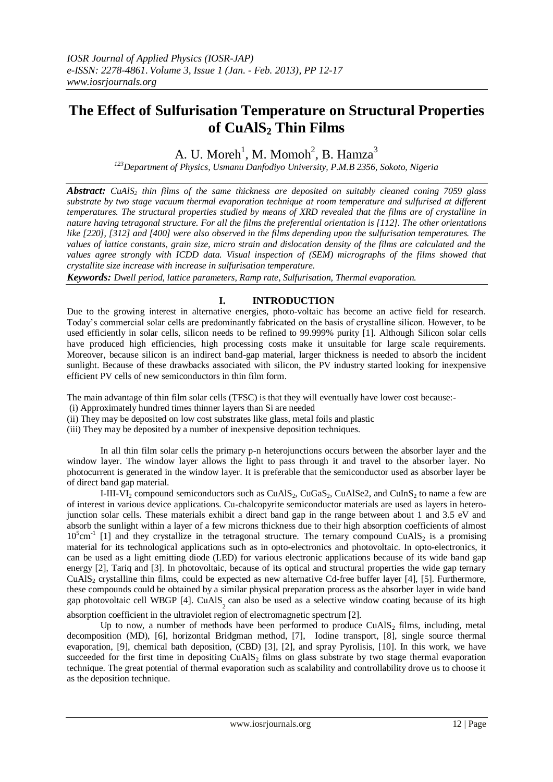# **The Effect of Sulfurisation Temperature on Structural Properties of CuAlS<sup>2</sup> Thin Films**

A. U. Moreh<sup>1</sup>, M. Momoh<sup>2</sup>, B. Hamza<sup>3</sup>

*<sup>123</sup>Department of Physics, Usmanu Danfodiyo University, P.M.B 2356, Sokoto, Nigeria*

*Abstract: CuAlS<sup>2</sup> thin films of the same thickness are deposited on suitably cleaned coning 7059 glass substrate by two stage vacuum thermal evaporation technique at room temperature and sulfurised at different temperatures. The structural properties studied by means of XRD revealed that the films are of crystalline in nature having tetragonal structure. For all the films the preferential orientation is [112]. The other orientations like [220], [312] and [400] were also observed in the films depending upon the sulfurisation temperatures. The values of lattice constants, grain size, micro strain and dislocation density of the films are calculated and the values agree strongly with ICDD data. Visual inspection of (SEM) micrographs of the films showed that crystallite size increase with increase in sulfurisation temperature.*

*Keywords: Dwell period, lattice parameters, Ramp rate, Sulfurisation, Thermal evaporation.*

## **I. INTRODUCTION**

Due to the growing interest in alternative energies, photo-voltaic has become an active field for research. Today's commercial solar cells are predominantly fabricated on the basis of crystalline silicon. However, to be used efficiently in solar cells, silicon needs to be refined to 99.999% purity [1]. Although Silicon solar cells have produced high efficiencies, high processing costs make it unsuitable for large scale requirements. Moreover, because silicon is an indirect band-gap material, larger thickness is needed to absorb the incident sunlight. Because of these drawbacks associated with silicon, the PV industry started looking for inexpensive efficient PV cells of new semiconductors in thin film form.

The main advantage of thin film solar cells (TFSC) is that they will eventually have lower cost because:-

- (i) Approximately hundred times thinner layers than Si are needed
- (ii) They may be deposited on low cost substrates like glass, metal foils and plastic
- (iii) They may be deposited by a number of inexpensive deposition techniques.

In all thin film solar cells the primary p-n heterojunctions occurs between the absorber layer and the window layer. The window layer allows the light to pass through it and travel to the absorber layer. No photocurrent is generated in the window layer. It is preferable that the semiconductor used as absorber layer be of direct band gap material.

I-III-VI<sub>2</sub> compound semiconductors such as CuAlS<sub>2</sub>, CuGaS<sub>2</sub>, CuAlSe2, and CuInS<sub>2</sub> to name a few are of interest in various device applications. Cu-chalcopyrite semiconductor materials are used as layers in heterojunction solar cells. These materials exhibit a direct band gap in the range between about 1 and 3.5 eV and absorb the sunlight within a layer of a few microns thickness due to their high absorption coefficients of almost  $10^5$ cm<sup>-1</sup> [1] and they crystallize in the tetragonal structure. The ternary compound CuAlS<sub>2</sub> is a promising material for its technological applications such as in opto-electronics and photovoltaic. In opto-electronics, it can be used as a light emitting diode (LED) for various electronic applications because of its wide band gap energy [2], Tariq and [3]. In photovoltaic, because of its optical and structural properties the wide gap ternary CuAlS<sub>2</sub> crystalline thin films, could be expected as new alternative Cd-free buffer layer  $[4]$ ,  $[5]$ . Furthermore, these compounds could be obtained by a similar physical preparation process as the absorber layer in wide band gap photovoltaic cell WBGP [4]. CuAlS<sub>2</sub> can also be used as a selective window coating because of its high absorption coefficient in the ultraviolet region of electromagnetic spectrum [2].

Up to now, a number of methods have been performed to produce  $CuAS<sub>2</sub>$  films, including, metal decomposition (MD), [6], horizontal Bridgman method, [7], Iodine transport, [8], single source thermal evaporation, [9], chemical bath deposition, (CBD) [3], [2], and spray Pyrolisis, [10]. In this work, we have succeeded for the first time in depositing  $CuAIS<sub>2</sub>$  films on glass substrate by two stage thermal evaporation technique. The great potential of thermal evaporation such as scalability and controllability drove us to choose it as the deposition technique.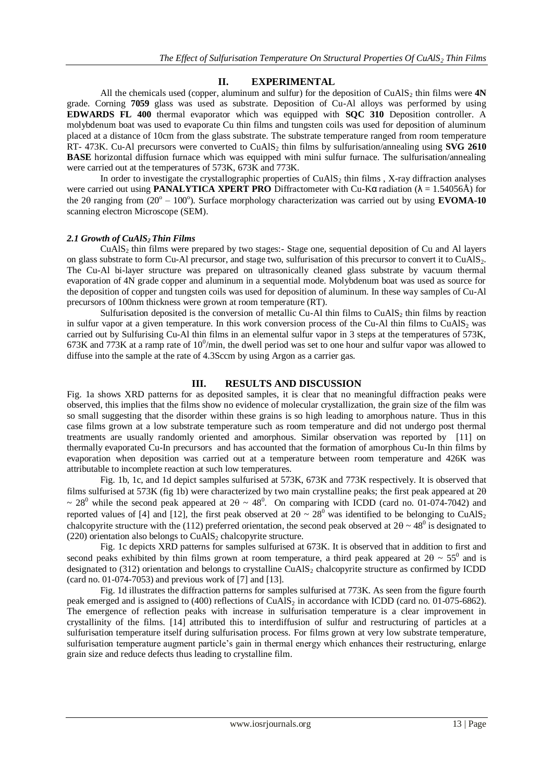#### **II. EXPERIMENTAL**

All the chemicals used (copper, aluminum and sulfur) for the deposition of CuAlS<sub>2</sub> thin films were  $4N$ grade. Corning **7059** glass was used as substrate. Deposition of Cu-Al alloys was performed by using **EDWARDS FL 400** thermal evaporator which was equipped with **SQC 310** Deposition controller. A molybdenum boat was used to evaporate Cu thin films and tungsten coils was used for deposition of aluminum placed at a distance of 10cm from the glass substrate. The substrate temperature ranged from room temperature RT- 473K. Cu-Al precursors were converted to CuAlS<sub>2</sub> thin films by sulfurisation/annealing using **SVG 2610 BASE** horizontal diffusion furnace which was equipped with mini sulfur furnace. The sulfurisation/annealing were carried out at the temperatures of 573K, 673K and 773K.

In order to investigate the crystallographic properties of  $CuAlS<sub>2</sub>$  thin films , X-ray diffraction analyses were carried out using **PANALYTICA XPERT PRO** Diffractometer with Cu-Kα radiation (λ = 1.54056Å) for the 20 ranging from  $(20^{\circ} - 100^{\circ})$ . Surface morphology characterization was carried out by using **EVOMA-10** scanning electron Microscope (SEM).

#### *2.1 Growth of CuAlS<sup>2</sup> Thin Films*

 $CuAIS<sub>2</sub>$  thin films were prepared by two stages:- Stage one, sequential deposition of Cu and Al layers on glass substrate to form Cu-Al precursor, and stage two, sulfurisation of this precursor to convert it to CuAlS2. The Cu-Al bi-layer structure was prepared on ultrasonically cleaned glass substrate by vacuum thermal evaporation of 4N grade copper and aluminum in a sequential mode. Molybdenum boat was used as source for the deposition of copper and tungsten coils was used for deposition of aluminum. In these way samples of Cu-Al precursors of 100nm thickness were grown at room temperature (RT).

Sulfurisation deposited is the conversion of metallic Cu-Al thin films to CuAlS<sub>2</sub> thin films by reaction in sulfur vapor at a given temperature. In this work conversion process of the Cu-Al thin films to CuAlS<sub>2</sub> was carried out by Sulfurising Cu-Al thin films in an elemental sulfur vapor in 3 steps at the temperatures of 573K, 673K and 773K at a ramp rate of  $10^0$ /min, the dwell period was set to one hour and sulfur vapor was allowed to diffuse into the sample at the rate of 4.3Sccm by using Argon as a carrier gas.

#### **III. RESULTS AND DISCUSSION**

Fig. 1a shows XRD patterns for as deposited samples, it is clear that no meaningful diffraction peaks were observed, this implies that the films show no evidence of molecular crystallization, the grain size of the film was so small suggesting that the disorder within these grains is so high leading to amorphous nature. Thus in this case films grown at a low substrate temperature such as room temperature and did not undergo post thermal treatments are usually randomly oriented and amorphous. Similar observation was reported by [11] on thermally evaporated Cu-In precursors and has accounted that the formation of amorphous Cu-In thin films by evaporation when deposition was carried out at a temperature between room temperature and 426K was attributable to incomplete reaction at such low temperatures.

Fig. 1b, 1c, and 1d depict samples sulfurised at 573K, 673K and 773K respectively. It is observed that films sulfurised at 573K (fig 1b) were characterized by two main crystalline peaks; the first peak appeared at 2  $\sim 28^{\circ}$  while the second peak appeared at  $2\theta \sim 48^{\circ}$ . On comparing with ICDD (card no. 01-074-7042) and reported values of [4] and [12], the first peak observed at  $2\theta \sim 28^\circ$  was identified to be belonging to CuAlS<sub>2</sub> chalcopyrite structure with the (112) preferred orientation, the second peak observed at  $2\theta \sim 48^{\circ}$  is designated to  $(220)$  orientation also belongs to CuAlS<sub>2</sub> chalcopyrite structure.

Fig. 1c depicts XRD patterns for samples sulfurised at 673K. It is observed that in addition to first and second peaks exhibited by thin films grown at room temperature, a third peak appeared at  $2\theta \sim 55^{\circ}$  and is designated to  $(312)$  orientation and belongs to crystalline CuAlS<sub>2</sub> chalcopyrite structure as confirmed by ICDD (card no. 01-074-7053) and previous work of [7] and [13].

Fig. 1d illustrates the diffraction patterns for samples sulfurised at 773K. As seen from the figure fourth peak emerged and is assigned to (400) reflections of CuAlS<sub>2</sub> in accordance with ICDD (card no. 01-075-6862). The emergence of reflection peaks with increase in sulfurisation temperature is a clear improvement in crystallinity of the films. [14] attributed this to interdiffusion of sulfur and restructuring of particles at a sulfurisation temperature itself during sulfurisation process. For films grown at very low substrate temperature, sulfurisation temperature augment particle's gain in thermal energy which enhances their restructuring, enlarge grain size and reduce defects thus leading to crystalline film.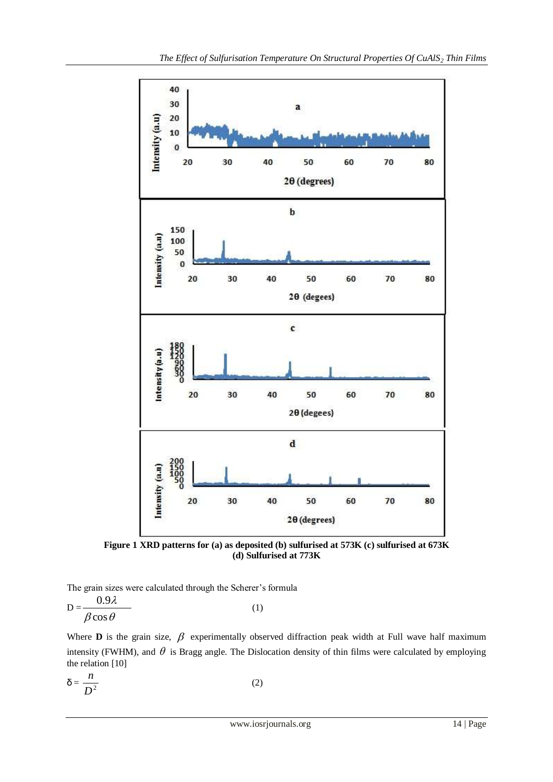

**Figure 1 XRD patterns for (a) as deposited (b) sulfurised at 573K (c) sulfurised at 673K (d) Sulfurised at 773K**

The grain sizes were calculated through the Scherer's formula

$$
D = \frac{0.9\lambda}{\beta \cos \theta} \tag{1}
$$

Where **D** is the grain size,  $\beta$  experimentally observed diffraction peak width at Full wave half maximum intensity (FWHM), and  $\theta$  is Bragg angle. The Dislocation density of thin films were calculated by employing the relation [10]

 $δ = \frac{R}{D^2}$ *n*  $(2)$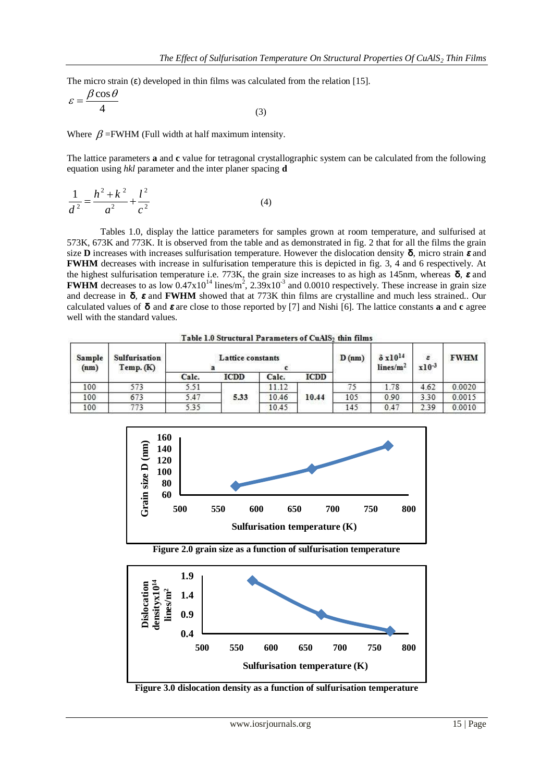The micro strain  $(\epsilon)$  developed in thin films was calculated from the relation [15].

$$
\varepsilon = \frac{\beta \cos \theta}{4} \tag{3}
$$

Where  $\beta$  =FWHM (Full width at half maximum intensity.

The lattice parameters **a** and **c** value for tetragonal crystallographic system can be calculated from the following equation using *hkl* parameter and the inter planer spacing **d**

$$
\frac{1}{d^2} = \frac{h^2 + k^2}{a^2} + \frac{l^2}{c^2}
$$
 (4)

Tables 1.0, display the lattice parameters for samples grown at room temperature, and sulfurised at 573K, 673K and 773K. It is observed from the table and as demonstrated in fig. 2 that for all the films the grain size **D** increases with increases sulfurisation temperature. However the dislocation density **δ**, micro strain *ε* and **FWHM** decreases with increase in sulfurisation temperature this is depicted in fig. 3, 4 and 6 respectively. At the highest sulfurisation temperature i.e. 773K, the grain size increases to as high as 145nm, whereas **δ**, *ε* and **FWHM** decreases to as low  $0.47 \times 10^{14}$  lines/m<sup>2</sup>,  $2.39 \times 10^{3}$  and  $0.0010$  respectively. These increase in grain size and decrease in **δ**, *ε* and **FWHM** showed that at 773K thin films are crystalline and much less strained.. Our calculated values of **δ** and *ε* are close to those reported by [7] and Nishi [6]. The lattice constants **a** and **c** agree well with the standard values.

Table 1.0 Structural Parameters of CuAlS<sub>2</sub> thin films

| Sample<br>(nm) | Sulfurisation<br>Temp. (K) | Lattice constants |             |       |       | D(nm) | $\delta$ x10 <sup>14</sup><br>lines/m <sup>2</sup> | $\pmb{\varepsilon}$<br>$x10^{-3}$ | <b>FWHM</b> |
|----------------|----------------------------|-------------------|-------------|-------|-------|-------|----------------------------------------------------|-----------------------------------|-------------|
|                |                            | Calc.             | <b>ICDD</b> | Calc. | ICDD  |       |                                                    |                                   |             |
| 100            | 573                        | 5.51              |             | 11.12 | 10.44 | 75    | 1.78                                               | 4.62                              | 0.0020      |
| 100            | 673                        | 5.47              | 5.33        | 10.46 |       | 105   | 0.90                                               | 3.30                              | 0.0015      |
| 100            | 773                        | 5.35              |             | 10.45 |       | 145   | 0.47                                               | 2.39                              | 0.0010      |



**Figure 2.0 grain size as a function of sulfurisation temperature**



**Figure 3.0 dislocation density as a function of sulfurisation temperature**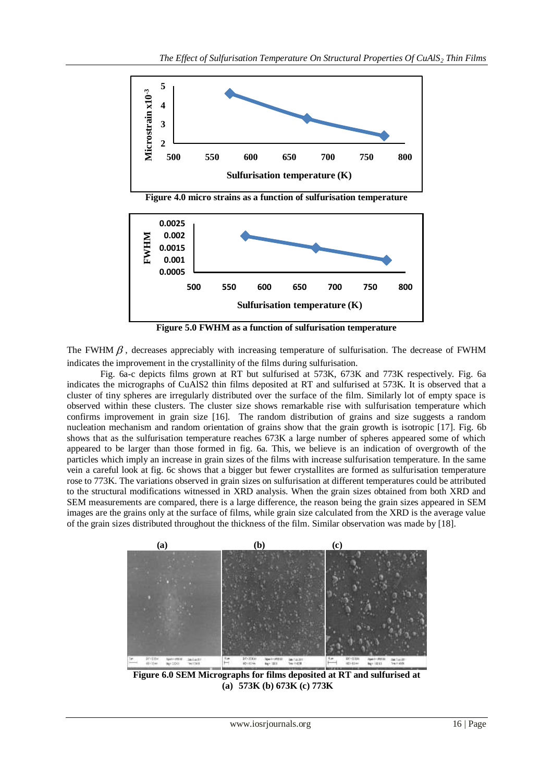

**Figure 4.0 micro strains as a function of sulfurisation temperature**



**Figure 5.0 FWHM as a function of sulfurisation temperature**

The FWHM  $\beta$ , decreases appreciably with increasing temperature of sulfurisation. The decrease of FWHM indicates the improvement in the crystallinity of the films during sulfurisation.

Fig. 6a-c depicts films grown at RT but sulfurised at 573K, 673K and 773K respectively. Fig. 6a indicates the micrographs of CuAlS2 thin films deposited at RT and sulfurised at 573K. It is observed that a cluster of tiny spheres are irregularly distributed over the surface of the film. Similarly lot of empty space is observed within these clusters. The cluster size shows remarkable rise with sulfurisation temperature which confirms improvement in grain size [16]. The random distribution of grains and size suggests a random nucleation mechanism and random orientation of grains show that the grain growth is isotropic [17]. Fig. 6b shows that as the sulfurisation temperature reaches 673K a large number of spheres appeared some of which appeared to be larger than those formed in fig. 6a. This, we believe is an indication of overgrowth of the particles which imply an increase in grain sizes of the films with increase sulfurisation temperature. In the same vein a careful look at fig. 6c shows that a bigger but fewer crystallites are formed as sulfurisation temperature rose to 773K. The variations observed in grain sizes on sulfurisation at different temperatures could be attributed to the structural modifications witnessed in XRD analysis. When the grain sizes obtained from both XRD and SEM measurements are compared, there is a large difference, the reason being the grain sizes appeared in SEM images are the grains only at the surface of films, while grain size calculated from the XRD is the average value of the grain sizes distributed throughout the thickness of the film. Similar observation was made by [18].



**Figure 6.0 SEM Micrographs for films deposited at RT and sulfurised at (a) 573K (b) 673K (c) 773K**